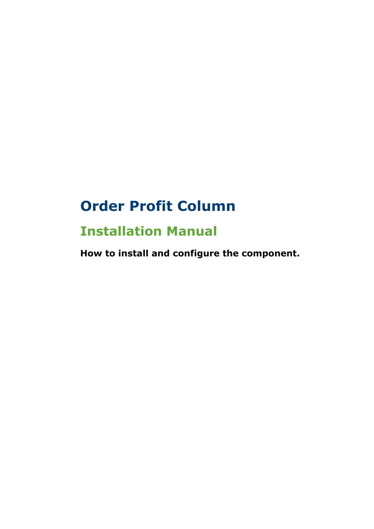# **Order Profit Column**

## **Installation Manual**

**How to install and configure the component.**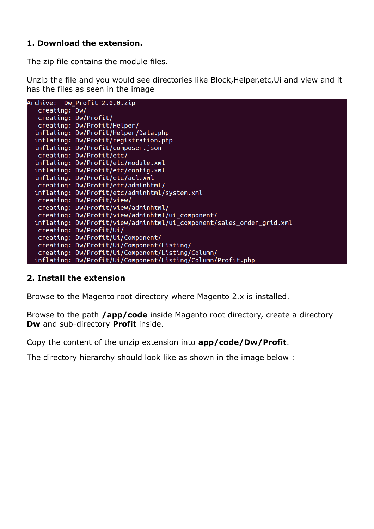### **1. Download the extension.**

The zip file contains the module files.

Unzip the file and you would see directories like Block,Helper,etc,Ui and view and it has the files as seen in the image



#### **2. Install the extension**

Browse to the Magento root directory where Magento 2.x is installed.

Browse to the path **/app/code** inside Magento root directory, create a directory **Dw** and sub-directory **Profit** inside.

Copy the content of the unzip extension into **app/code/Dw/Profit**.

The directory hierarchy should look like as shown in the image below :